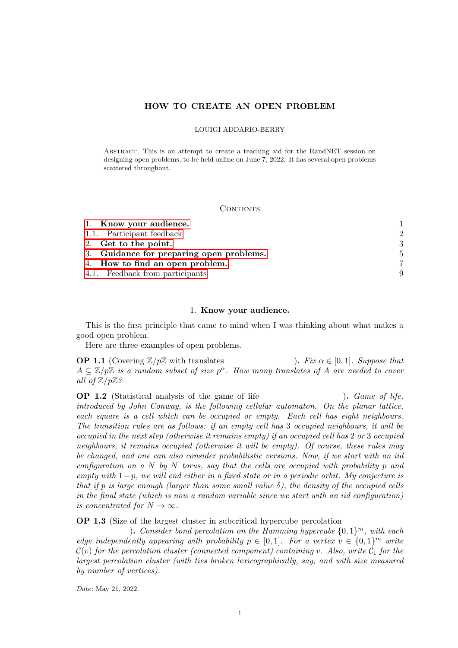# HOW TO CREATE AN OPEN PROBLEM

#### LOUIGI ADDARIO-BERRY

Abstract. This is an attempt to create a teaching aid for the RandNET session on designing open problems, to be held online on June 7, 2022. It has several open problems scattered throughout.

### **CONTENTS**

| 1. Know your audience.                   |                |
|------------------------------------------|----------------|
| 1.1. Participant feedback                | $\mathcal{D}$  |
| 2. Get to the point.                     | 3              |
| 3. Guidance for preparing open problems. | $\overline{5}$ |
| 4. How to find an open problem.          | 7              |
| 4.1. Feedback from participants          | 9              |

#### 1. Know your audience.

<span id="page-0-0"></span>This is the first principle that came to mind when I was thinking about what makes a good open problem.

Here are three examples of open problems.

**OP 1.1** (Covering  $\mathbb{Z}/p\mathbb{Z}$  with translates (Generally). Fix  $\alpha \in [0, 1]$ . Suppose that  $A \subseteq \mathbb{Z}/p\mathbb{Z}$  is a random subset of size  $p^{\alpha}$ . How many translates of A are needed to cover all of  $\mathbb{Z}/p\mathbb{Z}$ ?

OP 1.2 (Statistical analysis of the game of life (Ning Game of life, 2017). Game of life, introduced by John Conway, is the following cellular automaton. On the planar lattice, each square is a cell which can be occupied or empty. Each cell has eight neighbours. The transition rules are as follows: if an empty cell has 3 occupied neighbours, it will be occupied in the next step (otherwise it remains empty) if an occupied cell has 2 or 3 occupied neighbours, it remains occupied (otherwise it will be empty). Of course, these rules may be changed, and one can also consider probabilistic versions. Now, if we start with an iid configuration on a  $N$  by  $N$  torus, say that the cells are occupied with probability  $p$  and empty with  $1-p$ , we will end either in a fixed state or in a periodic orbit. My conjecture is that if p is large enough (larger than some small value  $\delta$ ), the density of the occupied cells in the final state (which is now a random variable since we start with an iid configuration) is concentrated for  $N \to \infty$ .

OP 1.3 (Size of the largest cluster in subcritical hypercube percolation

). Consider bond percolation on the Hamming hypercube  ${0, 1}^m$ , with each edge independently appearing with probability  $p \in [0,1]$ . For a vertex  $v \in \{0,1\}^m$  write  $\mathcal{C}(v)$  for the percolation cluster (connected component) containing v. Also, write  $\mathcal{C}_1$  for the largest percolation cluster (with ties broken lexicographically, say, and with size measured by number of vertices).

Date: May 21, 2022.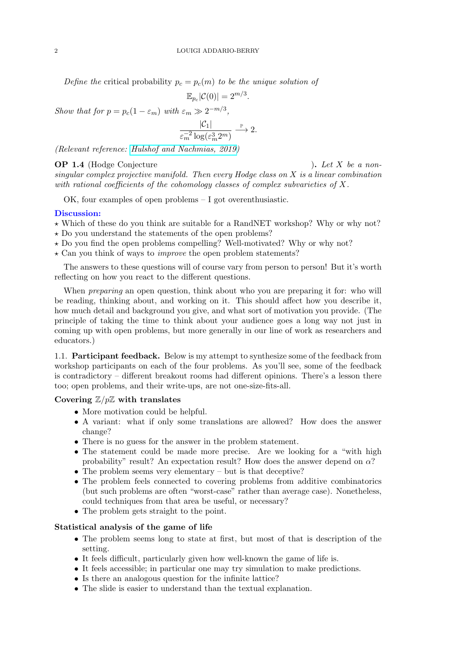Define the critical probability  $p_c = p_c(m)$  to be the unique solution of

$$
\mathbb{E}_{p_c}|\mathcal{C}(0)|=2^{m/3}.
$$

Show that for  $p = p_c(1 - \varepsilon_m)$  with  $\varepsilon_m \gg 2^{-m/3}$ ,

$$
\frac{|\mathcal{C}_1|}{\varepsilon_m^{-2}\log(\varepsilon_m^32^m)}\stackrel{\mathbb{P}}{\longrightarrow}2.
$$

(Relevant reference: [Hulshof and Nachmias, 2019\)](https://arxiv.org/abs/1612.01772)

## $OP$  1.4 (Hodge Conjecture  $\qquad \qquad$  ). Let X be a non-

singular complex projective manifold. Then every Hodge class on  $X$  is a linear combination with rational coefficients of the cohomology classes of complex subvarieties of  $X$ .

OK, four examples of open problems – I got overenthusiastic.

### Discussion:

- $\star$  Which of these do you think are suitable for a RandNET workshop? Why or why not?
- $\star$  Do you understand the statements of the open problems?
- $\star$  Do you find the open problems compelling? Well-motivated? Why or why not?
- $\star$  Can you think of ways to *improve* the open problem statements?

The answers to these questions will of course vary from person to person! But it's worth reflecting on how you react to the different questions.

When *preparing* an open question, think about who you are preparing it for: who will be reading, thinking about, and working on it. This should affect how you describe it, how much detail and background you give, and what sort of motivation you provide. (The principle of taking the time to think about your audience goes a long way not just in coming up with open problems, but more generally in our line of work as researchers and educators.)

<span id="page-1-0"></span>1.1. **Participant feedback.** Below is my attempt to synthesize some of the feedback from workshop participants on each of the four problems. As you'll see, some of the feedback is contradictory – different breakout rooms had different opinions. There's a lesson there too; open problems, and their write-ups, are not one-size-fits-all.

# Covering  $\mathbb{Z}/p\mathbb{Z}$  with translates

- More motivation could be helpful.
- A variant: what if only some translations are allowed? How does the answer change?
- There is no guess for the answer in the problem statement.
- The statement could be made more precise. Are we looking for a "with high probability" result? An expectation result? How does the answer depend on  $\alpha$ ?
- The problem seems very elementary but is that deceptive?
- The problem feels connected to covering problems from additive combinatorics (but such problems are often "worst-case" rather than average case). Nonetheless, could techniques from that area be useful, or necessary?
- The problem gets straight to the point.

## Statistical analysis of the game of life

- The problem seems long to state at first, but most of that is description of the setting.
- It feels difficult, particularly given how well-known the game of life is.
- It feels accessible; in particular one may try simulation to make predictions.
- Is there an analogous question for the infinite lattice?
- The slide is easier to understand than the textual explanation.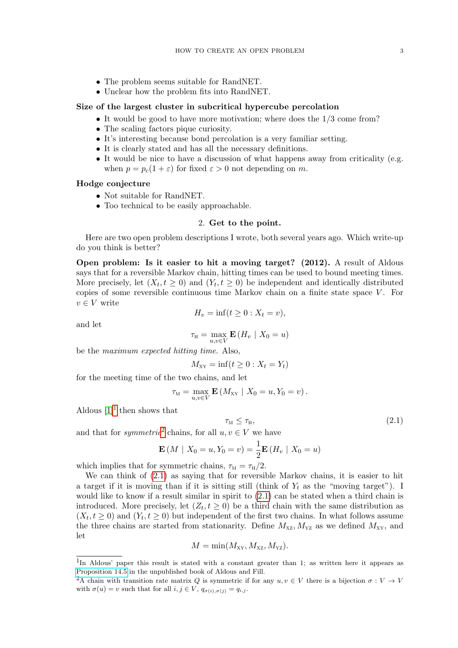- The problem seems suitable for RandNET.
- Unclear how the problem fits into RandNET.

# Size of the largest cluster in subcritical hypercube percolation

- It would be good to have more motivation; where does the  $1/3$  come from?
- The scaling factors pique curiosity.
- It's interesting because bond percolation is a very familiar setting.
- It is clearly stated and has all the necessary definitions.
- It would be nice to have a discussion of what happens away from criticality (e.g. when  $p = p_c(1 + \varepsilon)$  for fixed  $\varepsilon > 0$  not depending on m.

## Hodge conjecture

- Not suitable for RandNET.
- Too technical to be easily approachable.

#### 2. Get to the point.

<span id="page-2-0"></span>Here are two open problem descriptions I wrote, both several years ago. Which write-up do you think is better?

Open problem: Is it easier to hit a moving target? (2012). A result of Aldous says that for a reversible Markov chain, hitting times can be used to bound meeting times. More precisely, let  $(X_t, t \geq 0)$  and  $(Y_t, t \geq 0)$  be independent and identically distributed copies of some reversible continuous time Markov chain on a finite state space  $V$ . For  $v \in V$  write

$$
H_v = \inf(t \ge 0 : X_t = v),
$$

and let

$$
\tau_{\rm H} = \max_{u,v \in V} \mathbf{E} \left( H_v \mid X_0 = u \right)
$$

be the maximum expected hitting time. Also,

$$
M_{XY} = \inf(t \ge 0 : X_t = Y_t)
$$

for the meeting time of the two chains, and let

$$
\tau_{\mathcal{M}} = \max_{u,v \in V} \mathbf{E}\left(M_{XY} \mid X_0 = u, Y_0 = v\right).
$$

Aldous  $[1]$ <sup>[1](#page-2-1)</sup> then shows that

<span id="page-2-3"></span>
$$
\tau_{\rm M} \leq \tau_{\rm H},\tag{2.1}
$$

and that for *symmetric*<sup>[2](#page-2-2)</sup> chains, for all  $u, v \in V$  we have

$$
\mathbf{E}(M \mid X_0 = u, Y_0 = v) = \frac{1}{2} \mathbf{E}(H_v \mid X_0 = u)
$$

which implies that for symmetric chains,  $\tau_{\rm M} = \tau_{\rm H}/2$ .

We can think of [\(2.1\)](#page-2-3) as saying that for reversible Markov chains, it is easier to hit a target if it is moving than if it is sitting still (think of  $Y_t$  as the "moving target"). I would like to know if a result similar in spirit to  $(2.1)$  can be stated when a third chain is introduced. More precisely, let  $(Z_t, t \geq 0)$  be a third chain with the same distribution as  $(X_t, t \geq 0)$  and  $(Y_t, t \geq 0)$  but independent of the first two chains. In what follows assume the three chains are started from stationarity. Define  $M_{\text{XZ}}$ ,  $M_{\text{YZ}}$  as we defined  $M_{\text{XY}}$ , and let

$$
M = \min(M_{XY}, M_{XZ}, M_{YZ}).
$$

<span id="page-2-1"></span><sup>&</sup>lt;sup>1</sup>In Aldous' paper this result is stated with a constant greater than 1; as written here it appears as [Proposition 14.5](http://www.stat.berkeley.edu/~aldous/RWG/Chap14.pdf) in the unpublished book of Aldous and Fill.

<span id="page-2-2"></span><sup>&</sup>lt;sup>2</sup>A chain with transition rate matrix Q is symmetric if for any  $u, v \in V$  there is a bijection  $\sigma : V \to V$ with  $\sigma(u) = v$  such that for all  $i, j \in V$ ,  $q_{\sigma(i), \sigma(j)} = q_{i,j}$ .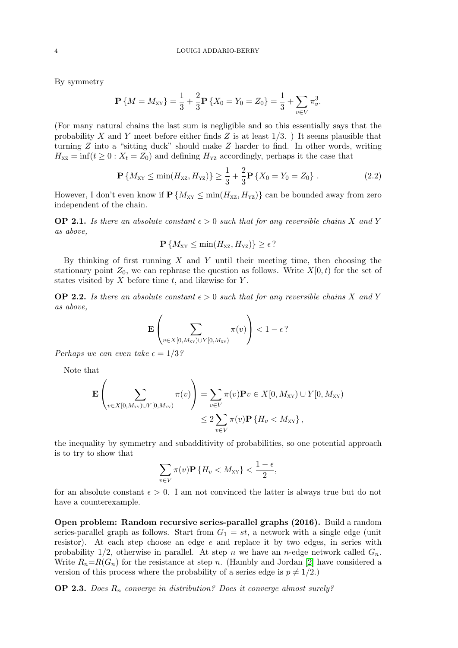By symmetry

$$
\mathbf{P}\left\{M = M_{XY}\right\} = \frac{1}{3} + \frac{2}{3}\mathbf{P}\left\{X_0 = Y_0 = Z_0\right\} = \frac{1}{3} + \sum_{v \in V} \pi_v^3.
$$

(For many natural chains the last sum is negligible and so this essentially says that the probability X and Y meet before either finds  $Z$  is at least  $1/3$ . It seems plausible that turning Z into a "sitting duck" should make Z harder to find. In other words, writing  $H_{\text{XZ}} = \inf(t \geq 0: X_t = Z_0)$  and defining  $H_{\text{YZ}}$  accordingly, perhaps it the case that

$$
\mathbf{P}\left\{M_{\rm XY} \leq \min(H_{\rm XZ}, H_{\rm YZ})\right\} \geq \frac{1}{3} + \frac{2}{3}\mathbf{P}\left\{X_0 = Y_0 = Z_0\right\} \,. \tag{2.2}
$$

However, I don't even know if  $P\{M_{XY} \leq \min(H_{XZ}, H_{YZ})\}$  can be bounded away from zero independent of the chain.

**OP 2.1.** Is there an absolute constant  $\epsilon > 0$  such that for any reversible chains X and Y as above,

$$
\mathbf{P}\left\{M_{\text{XY}}\leq \min(H_{\text{XZ}}, H_{\text{YZ}})\right\} \geq \epsilon?
$$

By thinking of first running  $X$  and  $Y$  until their meeting time, then choosing the stationary point  $Z_0$ , we can rephrase the question as follows. Write  $X[0, t)$  for the set of states visited by  $X$  before time  $t$ , and likewise for  $Y$ .

**OP 2.2.** Is there an absolute constant  $\epsilon > 0$  such that for any reversible chains X and Y as above,

$$
\mathbf{E}\left(\sum_{v\in X[0,M_{XY})\cup Y[0,M_{XY})}\pi(v)\right)<1-\epsilon?
$$

Perhaps we can even take  $\epsilon = 1/3$ ?

Note that

$$
\mathbf{E}\left(\sum_{v\in X[0,M_{XY})\cup Y[0,M_{XY})}\pi(v)\right)=\sum_{v\in V}\pi(v)\mathbf{P}v\in X[0,M_{XY})\cup Y[0,M_{XY})
$$
  

$$
\leq 2\sum_{v\in V}\pi(v)\mathbf{P}\left\{H_v
$$

the inequality by symmetry and subadditivity of probabilities, so one potential approach is to try to show that

$$
\sum_{v \in V} \pi(v) \mathbf{P} \left\{ H_v < M_{XY} \right\} < \frac{1 - \epsilon}{2},
$$

for an absolute constant  $\epsilon > 0$ . I am not convinced the latter is always true but do not have a counterexample.

Open problem: Random recursive series-parallel graphs (2016). Build a random series-parallel graph as follows. Start from  $G_1 = st$ , a network with a single edge (unit resistor). At each step choose an edge  $e$  and replace it by two edges, in series with probability 1/2, otherwise in parallel. At step n we have an n-edge network called  $G_n$ . Write  $R_n=R(G_n)$  for the resistance at step n. (Hambly and Jordan [\[2\]](#page-9-1) have considered a version of this process where the probability of a series edge is  $p \neq 1/2$ .)

**OP 2.3.** Does  $R_n$  converge in distribution? Does it converge almost surely?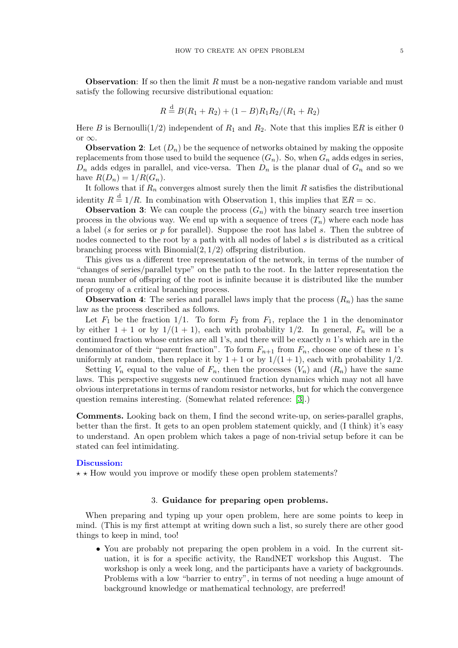**Observation:** If so then the limit  $R$  must be a non-negative random variable and must satisfy the following recursive distributional equation:

$$
R \stackrel{\text{d}}{=} B(R_1 + R_2) + (1 - B)R_1R_2/(R_1 + R_2)
$$

Here B is Bernoulli(1/2) independent of  $R_1$  and  $R_2$ . Note that this implies  $\mathbb{E}R$  is either 0 or  $\infty$ .

**Observation 2:** Let  $(D_n)$  be the sequence of networks obtained by making the opposite replacements from those used to build the sequence  $(G_n)$ . So, when  $G_n$  adds edges in series,  $D_n$  adds edges in parallel, and vice-versa. Then  $D_n$  is the planar dual of  $G_n$  and so we have  $R(D_n) = 1/R(G_n)$ .

It follows that if  $R_n$  converges almost surely then the limit R satisfies the distributional identity  $R \stackrel{\text{d}}{=} 1/R$ . In combination with Observation 1, this implies that  $\mathbb{E}R = \infty$ .

**Observation 3:** We can couple the process  $(G_n)$  with the binary search tree insertion process in the obvious way. We end up with a sequence of trees  $(T_n)$  where each node has a label (s for series or  $p$  for parallel). Suppose the root has label s. Then the subtree of nodes connected to the root by a path with all nodes of label s is distributed as a critical branching process with  $Binomial(2, 1/2)$  offspring distribution.

This gives us a different tree representation of the network, in terms of the number of "changes of series/parallel type" on the path to the root. In the latter representation the mean number of offspring of the root is infinite because it is distributed like the number of progeny of a critical branching process.

**Observation 4:** The series and parallel laws imply that the process  $(R_n)$  has the same law as the process described as follows.

Let  $F_1$  be the fraction 1/1. To form  $F_2$  from  $F_1$ , replace the 1 in the denominator by either  $1 + 1$  or by  $1/(1 + 1)$ , each with probability  $1/2$ . In general,  $F_n$  will be a continued fraction whose entries are all 1's, and there will be exactly  $n$  1's which are in the denominator of their "parent fraction". To form  $F_{n+1}$  from  $F_n$ , choose one of these n 1's uniformly at random, then replace it by  $1+1$  or by  $1/(1+1)$ , each with probability  $1/2$ .

Setting  $V_n$  equal to the value of  $F_n$ , then the processes  $(V_n)$  and  $(R_n)$  have the same laws. This perspective suggests new continued fraction dynamics which may not all have obvious interpretations in terms of random resistor networks, but for which the convergence question remains interesting. (Somewhat related reference: [\[3\]](#page-9-2).)

Comments. Looking back on them, I find the second write-up, on series-parallel graphs, better than the first. It gets to an open problem statement quickly, and (I think) it's easy to understand. An open problem which takes a page of non-trivial setup before it can be stated can feel intimidating.

### Discussion:

 $\star \star$  How would you improve or modify these open problem statements?

#### 3. Guidance for preparing open problems.

<span id="page-4-0"></span>When preparing and typing up your open problem, here are some points to keep in mind. (This is my first attempt at writing down such a list, so surely there are other good things to keep in mind, too!

• You are probably not preparing the open problem in a void. In the current situation, it is for a specific activity, the RandNET workshop this August. The workshop is only a week long, and the participants have a variety of backgrounds. Problems with a low "barrier to entry", in terms of not needing a huge amount of background knowledge or mathematical technology, are preferred!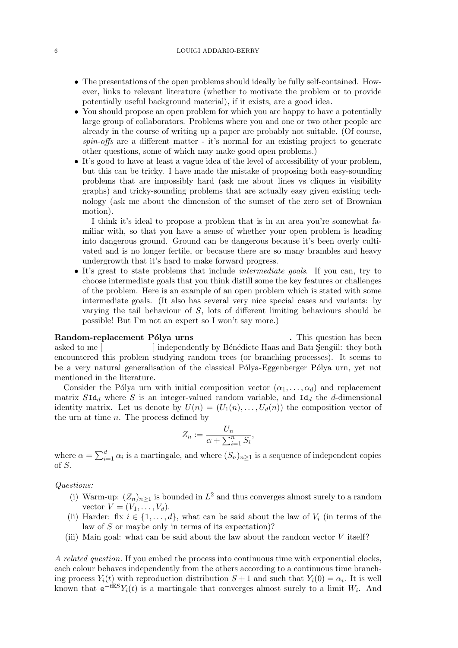- The presentations of the open problems should ideally be fully self-contained. However, links to relevant literature (whether to motivate the problem or to provide potentially useful background material), if it exists, are a good idea.
- You should propose an open problem for which you are happy to have a potentially large group of collaborators. Problems where you and one or two other people are already in the course of writing up a paper are probably not suitable. (Of course, spin-offs are a different matter - it's normal for an existing project to generate other questions, some of which may make good open problems.)
- It's good to have at least a vague idea of the level of accessibility of your problem, but this can be tricky. I have made the mistake of proposing both easy-sounding problems that are impossibly hard (ask me about lines vs cliques in visibility graphs) and tricky-sounding problems that are actually easy given existing technology (ask me about the dimension of the sumset of the zero set of Brownian motion).

I think it's ideal to propose a problem that is in an area you're somewhat familiar with, so that you have a sense of whether your open problem is heading into dangerous ground. Ground can be dangerous because it's been overly cultivated and is no longer fertile, or because there are so many brambles and heavy undergrowth that it's hard to make forward progress.

• It's great to state problems that include *intermediate goals*. If you can, try to choose intermediate goals that you think distill some the key features or challenges of the problem. Here is an example of an open problem which is stated with some intermediate goals. (It also has several very nice special cases and variants: by varying the tail behaviour of S, lots of different limiting behaviours should be possible! But I'm not an expert so I won't say more.)

# Random-replacement Pólya urns (Company ). This question has been asked to me [Coccile Mailler] independently by Bénédicte Haas and Batı Sengül: they both encountered this problem studying random trees (or branching processes). It seems to be a very natural generalisation of the classical Pólya-Eggenberger Pólya urn, yet not mentioned in the literature.

Consider the Pólya urn with initial composition vector  $(\alpha_1, \ldots, \alpha_d)$  and replacement matrix  $SId_d$  where S is an integer-valued random variable, and Id<sub>d</sub> the d-dimensional identity matrix. Let us denote by  $U(n) = (U_1(n), \ldots, U_d(n))$  the composition vector of the urn at time  $n$ . The process defined by

$$
Z_n := \frac{U_n}{\alpha + \sum_{i=1}^n S_i},
$$

where  $\alpha = \sum_{i=1}^{d} \alpha_i$  is a martingale, and where  $(S_n)_{n \geq 1}$  is a sequence of independent copies of S.

Questions:

- (i) Warm-up:  $(Z_n)_{n\geq 1}$  is bounded in  $L^2$  and thus converges almost surely to a random vector  $V = (V_1, \ldots, V_d)$ .
- (ii) Harder: fix  $i \in \{1, \ldots, d\}$ , what can be said about the law of  $V_i$  (in terms of the law of S or maybe only in terms of its expectation)?
- (iii) Main goal: what can be said about the law about the random vector  $V$  itself?

A related question. If you embed the process into continuous time with exponential clocks, each colour behaves independently from the others according to a continuous time branching process  $Y_i(t)$  with reproduction distribution  $S+1$  and such that  $Y_i(0) = \alpha_i$ . It is well known that  $e^{-t\mathbb{E}S}Y_i(t)$  is a martingale that converges almost surely to a limit  $W_i$ . And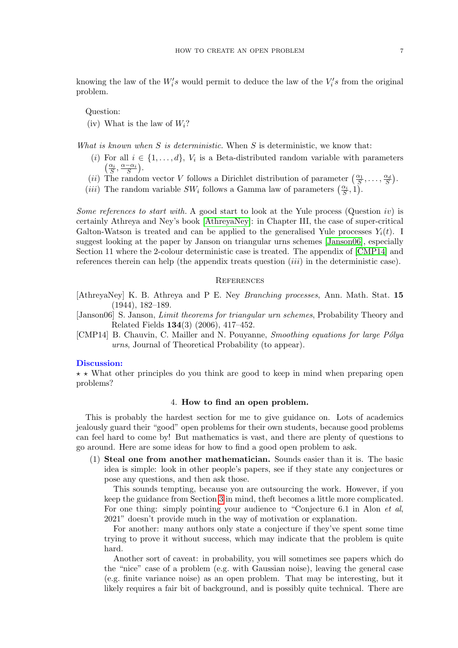knowing the law of the  $W_i$ 's would permit to deduce the law of the  $V_i$ 's from the original problem.

Question:

(iv) What is the law of  $W_i$ ?

What is known when  $S$  is deterministic. When  $S$  is deterministic, we know that:

- (*i*) For all  $i \in \{1, \ldots, d\}$ ,  $V_i$  is a Beta-distributed random variable with parameters  $\left(\frac{\alpha_i}{S}, \frac{\alpha-\alpha_i}{S}\right)$  .
- (*ii*) The random vector V follows a Dirichlet distribution of parameter  $(\frac{\alpha_1}{S}, \ldots, \frac{\alpha_d}{S})$ .
- (*iii*) The random variable  $SW_i$  follows a Gamma law of parameters  $(\frac{\alpha_i}{S}, 1)$ .

Some references to start with. A good start to look at the Yule process (Question  $iv$ ) is certainly Athreya and Ney's book [\[AthreyaNey\]](#page-6-1): in Chapter III, the case of super-critical Galton-Watson is treated and can be applied to the generalised Yule processes  $Y_i(t)$ . I suggest looking at the paper by Janson on triangular urns schemes [\[Janson06\]](#page-6-2), especially Section 11 where the 2-colour deterministic case is treated. The appendix of [\[CMP14\]](#page-6-3) and references therein can help (the appendix treats question  $(iii)$  in the deterministic case).

#### **REFERENCES**

- <span id="page-6-1"></span>[AthreyaNey] K. B. Athreya and P E. Ney Branching processes, Ann. Math. Stat. 15 (1944), 182–189.
- <span id="page-6-2"></span>[Janson06] S. Janson, Limit theorems for triangular urn schemes, Probability Theory and Related Fields 134(3) (2006), 417–452.
- <span id="page-6-3"></span>[CMP14] B. Chauvin, C. Mailler and N. Pouyanne, *Smoothing equations for large Polya* urns, Journal of Theoretical Probability (to appear).

## Discussion:

 $\star \star$  What other principles do you think are good to keep in mind when preparing open problems?

# 4. How to find an open problem.

<span id="page-6-0"></span>This is probably the hardest section for me to give guidance on. Lots of academics jealously guard their "good" open problems for their own students, because good problems can feel hard to come by! But mathematics is vast, and there are plenty of questions to go around. Here are some ideas for how to find a good open problem to ask.

(1) Steal one from another mathematician. Sounds easier than it is. The basic idea is simple: look in other people's papers, see if they state any conjectures or pose any questions, and then ask those.

This sounds tempting, because you are outsourcing the work. However, if you keep the guidance from Section [3](#page-4-0) in mind, theft becomes a little more complicated. For one thing: simply pointing your audience to "Conjecture 6.1 in Alon et al, 2021" doesn't provide much in the way of motivation or explanation.

For another: many authors only state a conjecture if they've spent some time trying to prove it without success, which may indicate that the problem is quite hard.

Another sort of caveat: in probability, you will sometimes see papers which do the "nice" case of a problem (e.g. with Gaussian noise), leaving the general case (e.g. finite variance noise) as an open problem. That may be interesting, but it likely requires a fair bit of background, and is possibly quite technical. There are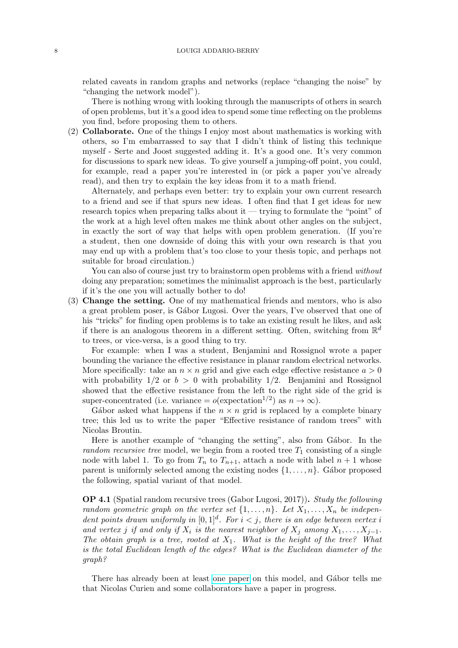related caveats in random graphs and networks (replace "changing the noise" by "changing the network model").

There is nothing wrong with looking through the manuscripts of others in search of open problems, but it's a good idea to spend some time reflecting on the problems you find, before proposing them to others.

(2) Collaborate. One of the things I enjoy most about mathematics is working with others, so I'm embarrassed to say that I didn't think of listing this technique myself - Serte and Joost suggested adding it. It's a good one. It's very common for discussions to spark new ideas. To give yourself a jumping-off point, you could, for example, read a paper you're interested in (or pick a paper you've already read), and then try to explain the key ideas from it to a math friend.

Alternately, and perhaps even better: try to explain your own current research to a friend and see if that spurs new ideas. I often find that I get ideas for new research topics when preparing talks about it — trying to formulate the "point" of the work at a high level often makes me think about other angles on the subject, in exactly the sort of way that helps with open problem generation. (If you're a student, then one downside of doing this with your own research is that you may end up with a problem that's too close to your thesis topic, and perhaps not suitable for broad circulation.)

You can also of course just try to brainstorm open problems with a friend *without* doing any preparation; sometimes the minimalist approach is the best, particularly if it's the one you will actually bother to do!

(3) Change the setting. One of my mathematical friends and mentors, who is also a great problem poser, is Gábor Lugosi. Over the years, I've observed that one of his "tricks" for finding open problems is to take an existing result he likes, and ask if there is an analogous theorem in a different setting. Often, switching from  $\mathbb{R}^d$ to trees, or vice-versa, is a good thing to try.

For example: when I was a student, Benjamini and Rossignol wrote a paper bounding the variance the effective resistance in planar random electrical networks. More specifically: take an  $n \times n$  grid and give each edge effective resistance  $a > 0$ with probability  $1/2$  or  $b > 0$  with probability  $1/2$ . Benjamini and Rossignol showed that the effective resistance from the left to the right side of the grid is super-concentrated (i.e. variance =  $o$ (expectation<sup>1/2</sup>) as  $n \to \infty$ ).

Gábor asked what happens if the  $n \times n$  grid is replaced by a complete binary tree; this led us to write the paper "Effective resistance of random trees" with Nicolas Broutin.

Here is another example of "changing the setting", also from Gábor. In the random recursive tree model, we begin from a rooted tree  $T_1$  consisting of a single node with label 1. To go from  $T_n$  to  $T_{n+1}$ , attach a node with label  $n+1$  whose parent is uniformly selected among the existing nodes  $\{1, \ldots, n\}$ . Gábor proposed the following, spatial variant of that model.

OP 4.1 (Spatial random recursive trees (Gabor Lugosi, 2017)). Study the following random geometric graph on the vertex set  $\{1, \ldots, n\}$ . Let  $X_1, \ldots, X_n$  be independent points drawn uniformly in  $[0,1]^d$ . For  $i < j$ , there is an edge between vertex i and vertex j if and only if  $X_i$  is the nearest neighbor of  $X_i$  among  $X_1, \ldots, X_{i-1}$ . The obtain graph is a tree, rooted at  $X_1$ . What is the height of the tree? What is the total Euclidean length of the edges? What is the Euclidean diameter of the graph?

There has already been at least [one paper](https://arxiv.org/abs/2108.13014) on this model, and Gábor tells me that Nicolas Curien and some collaborators have a paper in progress.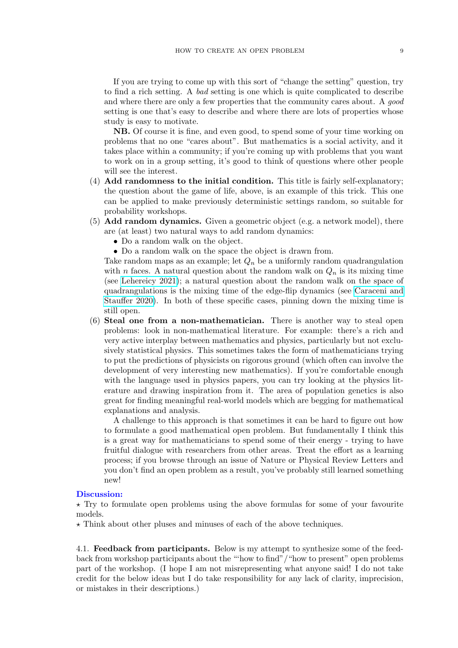If you are trying to come up with this sort of "change the setting" question, try to find a rich setting. A bad setting is one which is quite complicated to describe and where there are only a few properties that the community cares about. A good setting is one that's easy to describe and where there are lots of properties whose study is easy to motivate.

NB. Of course it is fine, and even good, to spend some of your time working on problems that no one "cares about". But mathematics is a social activity, and it takes place within a community; if you're coming up with problems that you want to work on in a group setting, it's good to think of questions where other people will see the interest.

- (4) Add randomness to the initial condition. This title is fairly self-explanatory; the question about the game of life, above, is an example of this trick. This one can be applied to make previously deterministic settings random, so suitable for probability workshops.
- (5) Add random dynamics. Given a geometric object (e.g. a network model), there are (at least) two natural ways to add random dynamics:
	- Do a random walk on the object.
	- Do a random walk on the space the object is drawn from.

Take random maps as an example; let  $Q_n$  be a uniformly random quadrangulation with n faces. A natural question about the random walk on  $Q_n$  is its mixing time (see [Lehereicy 2021\)](https://arxiv.org/abs/2105.04975); a natural question about the random walk on the space of quadrangulations is the mixing time of the edge-flip dynamics (see [Caraceni and](https://arxiv.org/abs/1809.05092) [Stauffer 2020\)](https://arxiv.org/abs/1809.05092). In both of these specific cases, pinning down the mixing time is still open.

(6) Steal one from a non-mathematician. There is another way to steal open problems: look in non-mathematical literature. For example: there's a rich and very active interplay between mathematics and physics, particularly but not exclusively statistical physics. This sometimes takes the form of mathematicians trying to put the predictions of physicists on rigorous ground (which often can involve the development of very interesting new mathematics). If you're comfortable enough with the language used in physics papers, you can try looking at the physics literature and drawing inspiration from it. The area of population genetics is also great for finding meaningful real-world models which are begging for mathematical explanations and analysis.

A challenge to this approach is that sometimes it can be hard to figure out how to formulate a good mathematical open problem. But fundamentally I think this is a great way for mathematicians to spend some of their energy - trying to have fruitful dialogue with researchers from other areas. Treat the effort as a learning process; if you browse through an issue of Nature or Physical Review Letters and you don't find an open problem as a result, you've probably still learned something new!

### Discussion:

 $\star$  Try to formulate open problems using the above formulas for some of your favourite models.

 $\star$  Think about other pluses and minuses of each of the above techniques.

<span id="page-8-0"></span>4.1. Feedback from participants. Below is my attempt to synthesize some of the feedback from workshop participants about the "'how to find"/"how to present" open problems part of the workshop. (I hope I am not misrepresenting what anyone said! I do not take credit for the below ideas but I do take responsibility for any lack of clarity, imprecision, or mistakes in their descriptions.)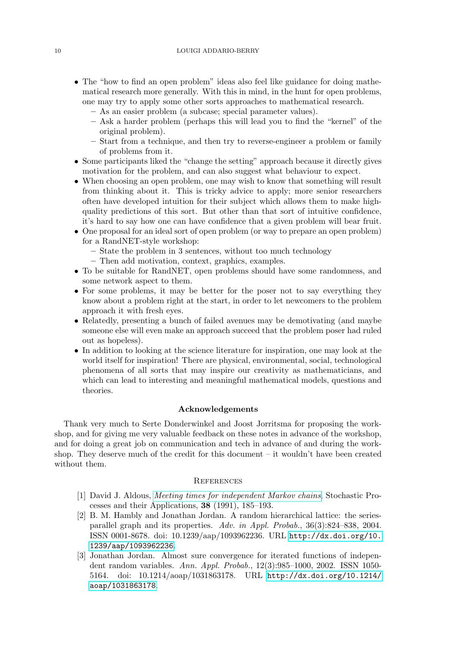- The "how to find an open problem" ideas also feel like guidance for doing mathematical research more generally. With this in mind, in the hunt for open problems, one may try to apply some other sorts approaches to mathematical research.
	- As an easier problem (a subcase; special parameter values).
	- Ask a harder problem (perhaps this will lead you to find the "kernel" of the original problem).
	- Start from a technique, and then try to reverse-engineer a problem or family of problems from it.
- Some participants liked the "change the setting" approach because it directly gives motivation for the problem, and can also suggest what behaviour to expect.
- When choosing an open problem, one may wish to know that something will result from thinking about it. This is tricky advice to apply; more senior researchers often have developed intuition for their subject which allows them to make highquality predictions of this sort. But other than that sort of intuitive confidence, it's hard to say how one can have confidence that a given problem will bear fruit.
- One proposal for an ideal sort of open problem (or way to prepare an open problem) for a RandNET-style workshop:
	- State the problem in 3 sentences, without too much technology
	- Then add motivation, context, graphics, examples.
- To be suitable for RandNET, open problems should have some randomness, and some network aspect to them.
- For some problems, it may be better for the poser not to say everything they know about a problem right at the start, in order to let newcomers to the problem approach it with fresh eyes.
- Relatedly, presenting a bunch of failed avenues may be demotivating (and maybe someone else will even make an approach succeed that the problem poser had ruled out as hopeless).
- In addition to looking at the science literature for inspiration, one may look at the world itself for inspiration! There are physical, environmental, social, technological phenomena of all sorts that may inspire our creativity as mathematicians, and which can lead to interesting and meaningful mathematical models, questions and theories.

# Acknowledgements

Thank very much to Serte Donderwinkel and Joost Jorritsma for proposing the workshop, and for giving me very valuable feedback on these notes in advance of the workshop, and for doing a great job on communication and tech in advance of and during the workshop. They deserve much of the credit for this document – it wouldn't have been created without them.

#### **REFERENCES**

- <span id="page-9-0"></span>[1] David J. Aldous, [Meeting times for independent Markov chains](http://statistics.berkeley.edu/~aldous/Papers/me38.pdf), Stochastic Processes and their Applications, 38 (1991), 185–193.
- <span id="page-9-1"></span>[2] B. M. Hambly and Jonathan Jordan. A random hierarchical lattice: the seriesparallel graph and its properties. Adv. in Appl. Probab., 36(3):824–838, 2004. ISSN 0001-8678. doi: 10.1239/aap/1093962236. URL [http://dx.doi.org/10.](http://dx.doi.org/10.1239/aap/1093962236) [1239/aap/1093962236](http://dx.doi.org/10.1239/aap/1093962236).
- <span id="page-9-2"></span>[3] Jonathan Jordan. Almost sure convergence for iterated functions of independent random variables. Ann. Appl. Probab., 12(3):985–1000, 2002. ISSN 1050- 5164. doi: 10.1214/aoap/1031863178. URL [http://dx.doi.org/10.1214/](http://dx.doi.org/10.1214/aoap/1031863178) [aoap/1031863178](http://dx.doi.org/10.1214/aoap/1031863178).